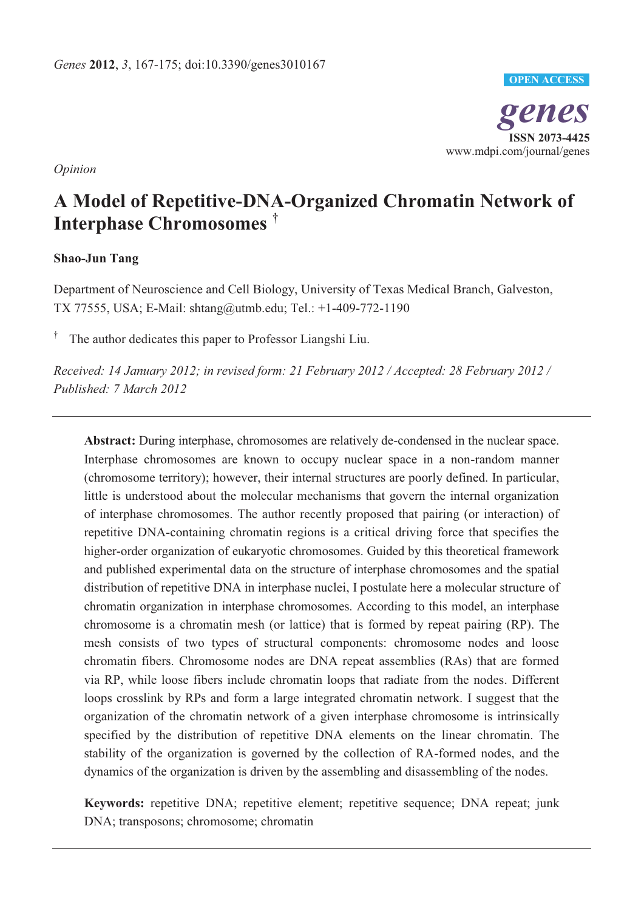

*Opinion* 

# **A Model of Repetitive-DNA-Organized Chromatin Network of Interphase Chromosomes †**

## **Shao-Jun Tang**

Department of Neuroscience and Cell Biology, University of Texas Medical Branch, Galveston, TX 77555, USA; E-Mail: shtang@utmb.edu; Tel.: +1-409-772-1190

† The author dedicates this paper to Professor Liangshi Liu.

*Received: 14 January 2012; in revised form: 21 February 2012 / Accepted: 28 February 2012 / Published: 7 March 2012*

**Abstract:** During interphase, chromosomes are relatively de-condensed in the nuclear space. Interphase chromosomes are known to occupy nuclear space in a non-random manner (chromosome territory); however, their internal structures are poorly defined. In particular, little is understood about the molecular mechanisms that govern the internal organization of interphase chromosomes. The author recently proposed that pairing (or interaction) of repetitive DNA-containing chromatin regions is a critical driving force that specifies the higher-order organization of eukaryotic chromosomes. Guided by this theoretical framework and published experimental data on the structure of interphase chromosomes and the spatial distribution of repetitive DNA in interphase nuclei, I postulate here a molecular structure of chromatin organization in interphase chromosomes. According to this model, an interphase chromosome is a chromatin mesh (or lattice) that is formed by repeat pairing (RP). The mesh consists of two types of structural components: chromosome nodes and loose chromatin fibers. Chromosome nodes are DNA repeat assemblies (RAs) that are formed via RP, while loose fibers include chromatin loops that radiate from the nodes. Different loops crosslink by RPs and form a large integrated chromatin network. I suggest that the organization of the chromatin network of a given interphase chromosome is intrinsically specified by the distribution of repetitive DNA elements on the linear chromatin. The stability of the organization is governed by the collection of RA-formed nodes, and the dynamics of the organization is driven by the assembling and disassembling of the nodes.

**Keywords:** repetitive DNA; repetitive element; repetitive sequence; DNA repeat; junk DNA; transposons; chromosome; chromatin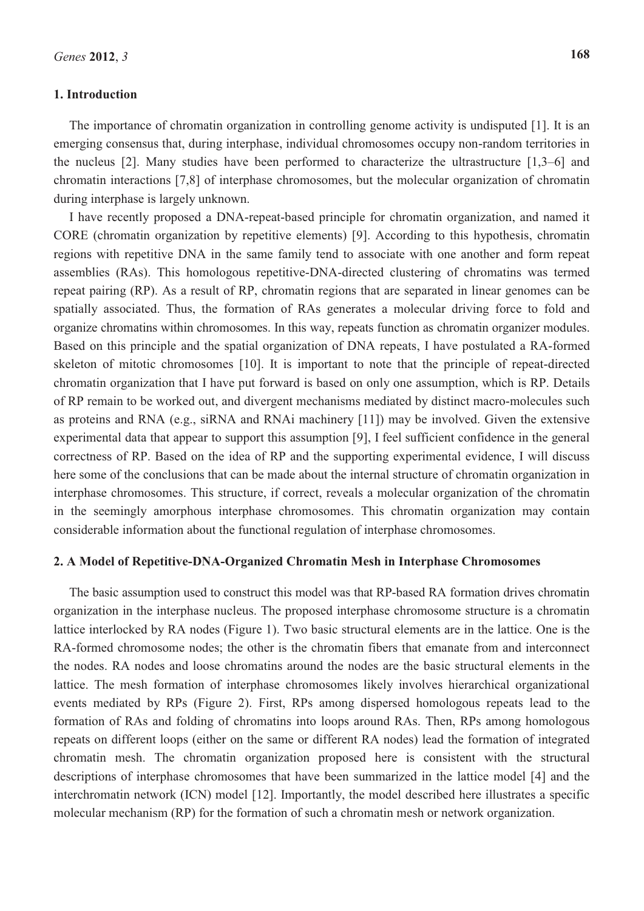### **1. Introduction**

The importance of chromatin organization in controlling genome activity is undisputed [1]. It is an emerging consensus that, during interphase, individual chromosomes occupy non-random territories in the nucleus [2]. Many studies have been performed to characterize the ultrastructure [1,3–6] and chromatin interactions [7,8] of interphase chromosomes, but the molecular organization of chromatin during interphase is largely unknown.

I have recently proposed a DNA-repeat-based principle for chromatin organization, and named it CORE (chromatin organization by repetitive elements) [9]. According to this hypothesis, chromatin regions with repetitive DNA in the same family tend to associate with one another and form repeat assemblies (RAs). This homologous repetitive-DNA-directed clustering of chromatins was termed repeat pairing (RP). As a result of RP, chromatin regions that are separated in linear genomes can be spatially associated. Thus, the formation of RAs generates a molecular driving force to fold and organize chromatins within chromosomes. In this way, repeats function as chromatin organizer modules. Based on this principle and the spatial organization of DNA repeats, I have postulated a RA-formed skeleton of mitotic chromosomes [10]. It is important to note that the principle of repeat-directed chromatin organization that I have put forward is based on only one assumption, which is RP. Details of RP remain to be worked out, and divergent mechanisms mediated by distinct macro-molecules such as proteins and RNA (e.g., siRNA and RNAi machinery [11]) may be involved. Given the extensive experimental data that appear to support this assumption [9], I feel sufficient confidence in the general correctness of RP. Based on the idea of RP and the supporting experimental evidence, I will discuss here some of the conclusions that can be made about the internal structure of chromatin organization in interphase chromosomes. This structure, if correct, reveals a molecular organization of the chromatin in the seemingly amorphous interphase chromosomes. This chromatin organization may contain considerable information about the functional regulation of interphase chromosomes.

### **2. A Model of Repetitive-DNA-Organized Chromatin Mesh in Interphase Chromosomes**

The basic assumption used to construct this model was that RP-based RA formation drives chromatin organization in the interphase nucleus. The proposed interphase chromosome structure is a chromatin lattice interlocked by RA nodes (Figure 1). Two basic structural elements are in the lattice. One is the RA-formed chromosome nodes; the other is the chromatin fibers that emanate from and interconnect the nodes. RA nodes and loose chromatins around the nodes are the basic structural elements in the lattice. The mesh formation of interphase chromosomes likely involves hierarchical organizational events mediated by RPs (Figure 2). First, RPs among dispersed homologous repeats lead to the formation of RAs and folding of chromatins into loops around RAs. Then, RPs among homologous repeats on different loops (either on the same or different RA nodes) lead the formation of integrated chromatin mesh. The chromatin organization proposed here is consistent with the structural descriptions of interphase chromosomes that have been summarized in the lattice model [4] and the interchromatin network (ICN) model [12]. Importantly, the model described here illustrates a specific molecular mechanism (RP) for the formation of such a chromatin mesh or network organization.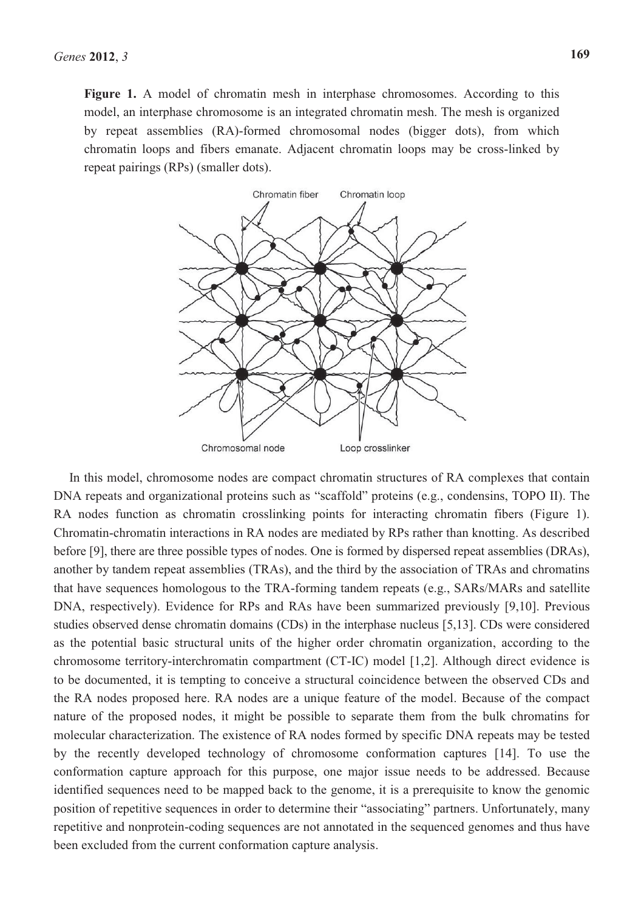Figure 1. A model of chromatin mesh in interphase chromosomes. According to this model, an interphase chromosome is an integrated chromatin mesh. The mesh is organized by repeat assemblies (RA)-formed chromosomal nodes (bigger dots), from which chromatin loops and fibers emanate. Adjacent chromatin loops may be cross-linked by repeat pairings (RPs) (smaller dots).



In this model, chromosome nodes are compact chromatin structures of RA complexes that contain DNA repeats and organizational proteins such as "scaffold" proteins (e.g., condensins, TOPO II). The RA nodes function as chromatin crosslinking points for interacting chromatin fibers (Figure 1). Chromatin-chromatin interactions in RA nodes are mediated by RPs rather than knotting. As described before [9], there are three possible types of nodes. One is formed by dispersed repeat assemblies (DRAs), another by tandem repeat assemblies (TRAs), and the third by the association of TRAs and chromatins that have sequences homologous to the TRA-forming tandem repeats (e.g., SARs/MARs and satellite DNA, respectively). Evidence for RPs and RAs have been summarized previously [9,10]. Previous studies observed dense chromatin domains (CDs) in the interphase nucleus [5,13]. CDs were considered as the potential basic structural units of the higher order chromatin organization, according to the chromosome territory-interchromatin compartment (CT-IC) model [1,2]. Although direct evidence is to be documented, it is tempting to conceive a structural coincidence between the observed CDs and the RA nodes proposed here. RA nodes are a unique feature of the model. Because of the compact nature of the proposed nodes, it might be possible to separate them from the bulk chromatins for molecular characterization. The existence of RA nodes formed by specific DNA repeats may be tested by the recently developed technology of chromosome conformation captures [14]. To use the conformation capture approach for this purpose, one major issue needs to be addressed. Because identified sequences need to be mapped back to the genome, it is a prerequisite to know the genomic position of repetitive sequences in order to determine their "associating" partners. Unfortunately, many repetitive and nonprotein-coding sequences are not annotated in the sequenced genomes and thus have been excluded from the current conformation capture analysis.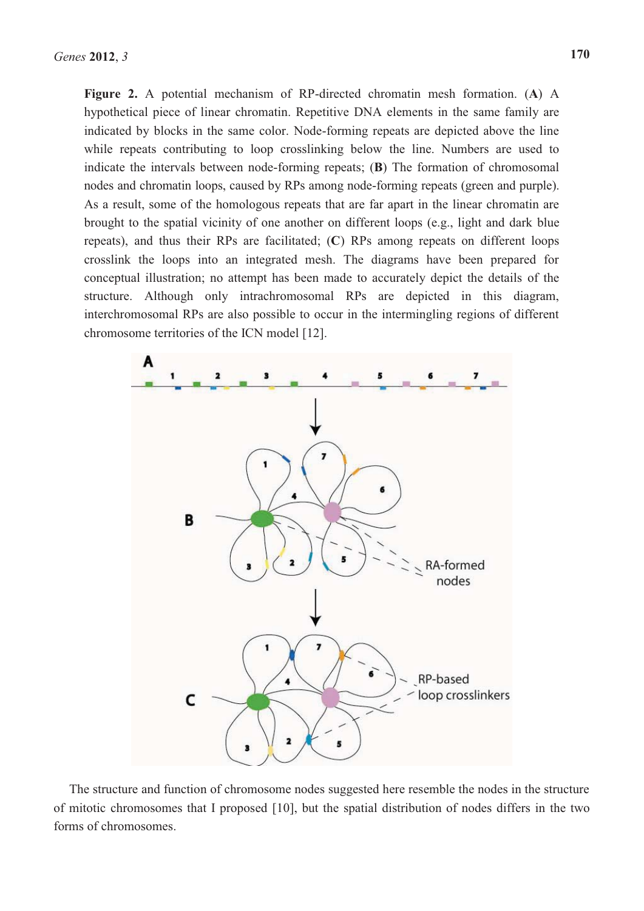**Figure 2.** A potential mechanism of RP-directed chromatin mesh formation. (**A**) A hypothetical piece of linear chromatin. Repetitive DNA elements in the same family are indicated by blocks in the same color. Node-forming repeats are depicted above the line while repeats contributing to loop crosslinking below the line. Numbers are used to indicate the intervals between node-forming repeats; (**B**) The formation of chromosomal nodes and chromatin loops, caused by RPs among node-forming repeats (green and purple). As a result, some of the homologous repeats that are far apart in the linear chromatin are brought to the spatial vicinity of one another on different loops (e.g., light and dark blue repeats), and thus their RPs are facilitated; (**C**) RPs among repeats on different loops crosslink the loops into an integrated mesh. The diagrams have been prepared for conceptual illustration; no attempt has been made to accurately depict the details of the structure. Although only intrachromosomal RPs are depicted in this diagram, interchromosomal RPs are also possible to occur in the intermingling regions of different chromosome territories of the ICN model [12].



The structure and function of chromosome nodes suggested here resemble the nodes in the structure of mitotic chromosomes that I proposed [10], but the spatial distribution of nodes differs in the two forms of chromosomes.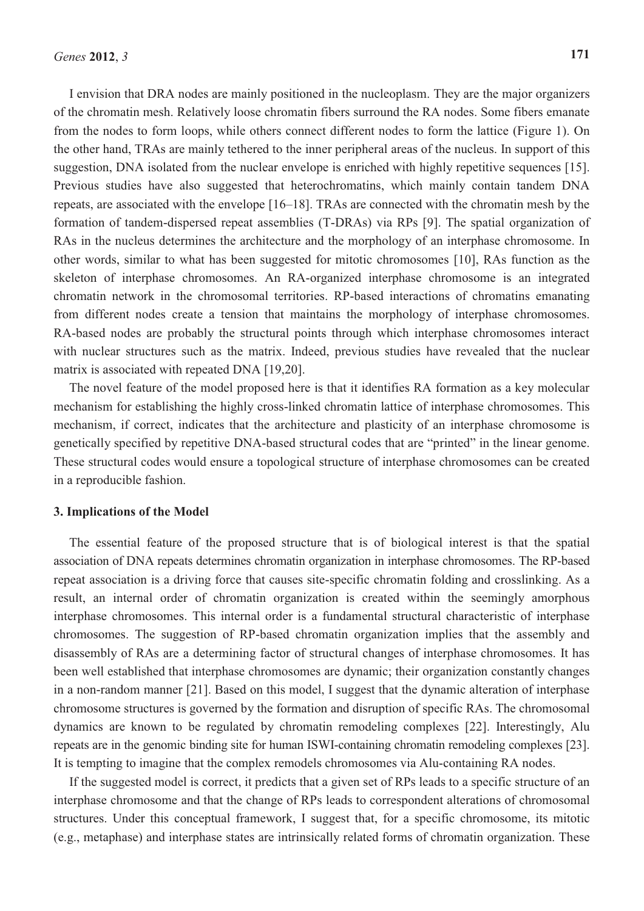I envision that DRA nodes are mainly positioned in the nucleoplasm. They are the major organizers of the chromatin mesh. Relatively loose chromatin fibers surround the RA nodes. Some fibers emanate from the nodes to form loops, while others connect different nodes to form the lattice (Figure 1). On the other hand, TRAs are mainly tethered to the inner peripheral areas of the nucleus. In support of this suggestion, DNA isolated from the nuclear envelope is enriched with highly repetitive sequences [15]. Previous studies have also suggested that heterochromatins, which mainly contain tandem DNA repeats, are associated with the envelope [16–18]. TRAs are connected with the chromatin mesh by the formation of tandem-dispersed repeat assemblies (T-DRAs) via RPs [9]. The spatial organization of RAs in the nucleus determines the architecture and the morphology of an interphase chromosome. In other words, similar to what has been suggested for mitotic chromosomes [10], RAs function as the skeleton of interphase chromosomes. An RA-organized interphase chromosome is an integrated chromatin network in the chromosomal territories. RP-based interactions of chromatins emanating from different nodes create a tension that maintains the morphology of interphase chromosomes. RA-based nodes are probably the structural points through which interphase chromosomes interact with nuclear structures such as the matrix. Indeed, previous studies have revealed that the nuclear matrix is associated with repeated DNA [19,20].

The novel feature of the model proposed here is that it identifies RA formation as a key molecular mechanism for establishing the highly cross-linked chromatin lattice of interphase chromosomes. This mechanism, if correct, indicates that the architecture and plasticity of an interphase chromosome is genetically specified by repetitive DNA-based structural codes that are "printed" in the linear genome. These structural codes would ensure a topological structure of interphase chromosomes can be created in a reproducible fashion.

#### **3. Implications of the Model**

The essential feature of the proposed structure that is of biological interest is that the spatial association of DNA repeats determines chromatin organization in interphase chromosomes. The RP-based repeat association is a driving force that causes site-specific chromatin folding and crosslinking. As a result, an internal order of chromatin organization is created within the seemingly amorphous interphase chromosomes. This internal order is a fundamental structural characteristic of interphase chromosomes. The suggestion of RP-based chromatin organization implies that the assembly and disassembly of RAs are a determining factor of structural changes of interphase chromosomes. It has been well established that interphase chromosomes are dynamic; their organization constantly changes in a non-random manner [21]. Based on this model, I suggest that the dynamic alteration of interphase chromosome structures is governed by the formation and disruption of specific RAs. The chromosomal dynamics are known to be regulated by chromatin remodeling complexes [22]. Interestingly, Alu repeats are in the genomic binding site for human ISWI-containing chromatin remodeling complexes [23]. It is tempting to imagine that the complex remodels chromosomes via Alu-containing RA nodes.

If the suggested model is correct, it predicts that a given set of RPs leads to a specific structure of an interphase chromosome and that the change of RPs leads to correspondent alterations of chromosomal structures. Under this conceptual framework, I suggest that, for a specific chromosome, its mitotic (e.g., metaphase) and interphase states are intrinsically related forms of chromatin organization. These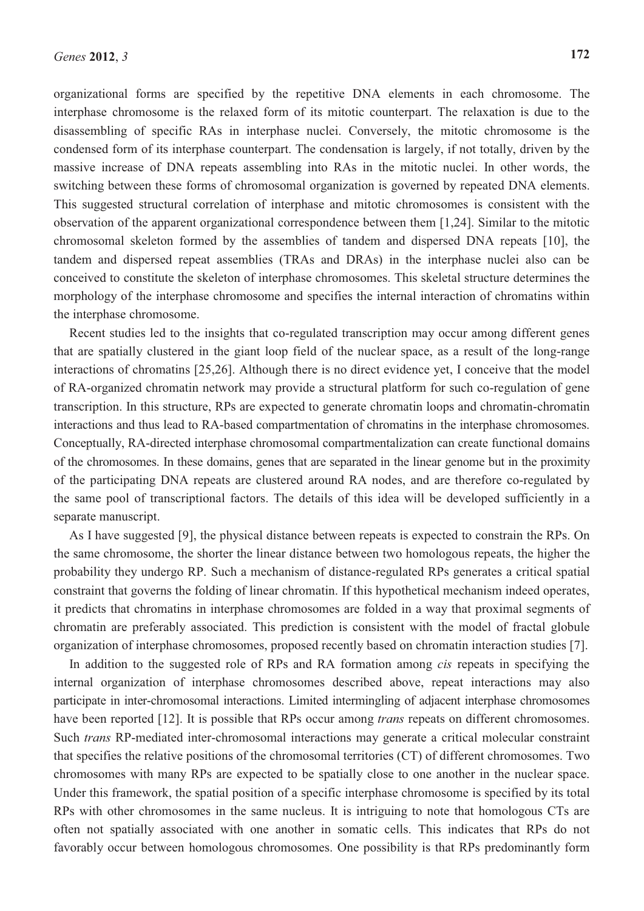organizational forms are specified by the repetitive DNA elements in each chromosome. The interphase chromosome is the relaxed form of its mitotic counterpart. The relaxation is due to the disassembling of specific RAs in interphase nuclei. Conversely, the mitotic chromosome is the condensed form of its interphase counterpart. The condensation is largely, if not totally, driven by the massive increase of DNA repeats assembling into RAs in the mitotic nuclei. In other words, the switching between these forms of chromosomal organization is governed by repeated DNA elements. This suggested structural correlation of interphase and mitotic chromosomes is consistent with the observation of the apparent organizational correspondence between them [1,24]. Similar to the mitotic chromosomal skeleton formed by the assemblies of tandem and dispersed DNA repeats [10], the tandem and dispersed repeat assemblies (TRAs and DRAs) in the interphase nuclei also can be conceived to constitute the skeleton of interphase chromosomes. This skeletal structure determines the morphology of the interphase chromosome and specifies the internal interaction of chromatins within the interphase chromosome.

Recent studies led to the insights that co-regulated transcription may occur among different genes that are spatially clustered in the giant loop field of the nuclear space, as a result of the long-range interactions of chromatins [25,26]. Although there is no direct evidence yet, I conceive that the model of RA-organized chromatin network may provide a structural platform for such co-regulation of gene transcription. In this structure, RPs are expected to generate chromatin loops and chromatin-chromatin interactions and thus lead to RA-based compartmentation of chromatins in the interphase chromosomes. Conceptually, RA-directed interphase chromosomal compartmentalization can create functional domains of the chromosomes. In these domains, genes that are separated in the linear genome but in the proximity of the participating DNA repeats are clustered around RA nodes, and are therefore co-regulated by the same pool of transcriptional factors. The details of this idea will be developed sufficiently in a separate manuscript.

As I have suggested [9], the physical distance between repeats is expected to constrain the RPs. On the same chromosome, the shorter the linear distance between two homologous repeats, the higher the probability they undergo RP. Such a mechanism of distance-regulated RPs generates a critical spatial constraint that governs the folding of linear chromatin. If this hypothetical mechanism indeed operates, it predicts that chromatins in interphase chromosomes are folded in a way that proximal segments of chromatin are preferably associated. This prediction is consistent with the model of fractal globule organization of interphase chromosomes, proposed recently based on chromatin interaction studies [7].

In addition to the suggested role of RPs and RA formation among *cis* repeats in specifying the internal organization of interphase chromosomes described above, repeat interactions may also participate in inter-chromosomal interactions. Limited intermingling of adjacent interphase chromosomes have been reported [12]. It is possible that RPs occur among *trans* repeats on different chromosomes. Such *trans* RP-mediated inter-chromosomal interactions may generate a critical molecular constraint that specifies the relative positions of the chromosomal territories (CT) of different chromosomes. Two chromosomes with many RPs are expected to be spatially close to one another in the nuclear space. Under this framework, the spatial position of a specific interphase chromosome is specified by its total RPs with other chromosomes in the same nucleus. It is intriguing to note that homologous CTs are often not spatially associated with one another in somatic cells. This indicates that RPs do not favorably occur between homologous chromosomes. One possibility is that RPs predominantly form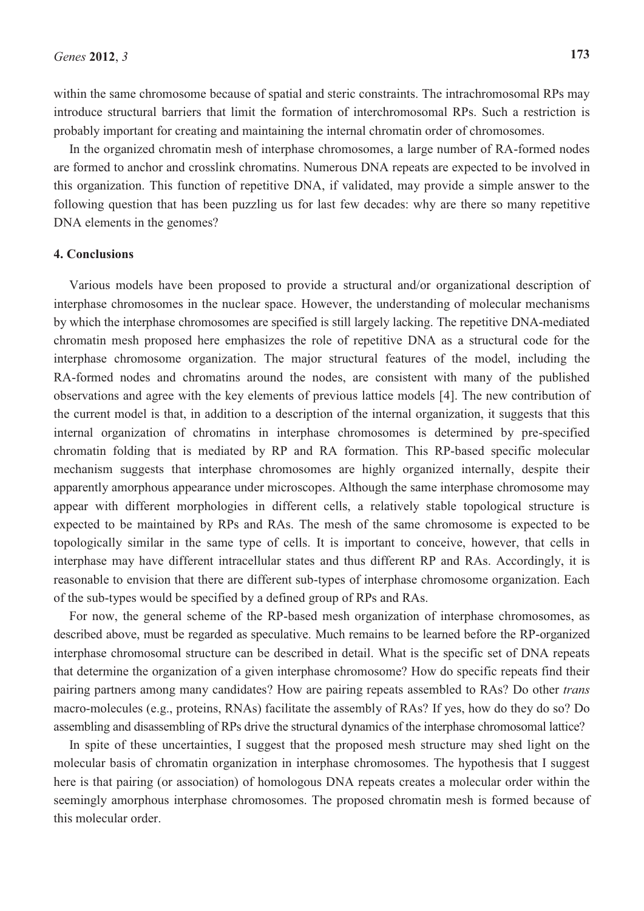within the same chromosome because of spatial and steric constraints. The intrachromosomal RPs may introduce structural barriers that limit the formation of interchromosomal RPs. Such a restriction is probably important for creating and maintaining the internal chromatin order of chromosomes.

In the organized chromatin mesh of interphase chromosomes, a large number of RA-formed nodes are formed to anchor and crosslink chromatins. Numerous DNA repeats are expected to be involved in this organization. This function of repetitive DNA, if validated, may provide a simple answer to the following question that has been puzzling us for last few decades: why are there so many repetitive DNA elements in the genomes?

#### **4. Conclusions**

Various models have been proposed to provide a structural and/or organizational description of interphase chromosomes in the nuclear space. However, the understanding of molecular mechanisms by which the interphase chromosomes are specified is still largely lacking. The repetitive DNA-mediated chromatin mesh proposed here emphasizes the role of repetitive DNA as a structural code for the interphase chromosome organization. The major structural features of the model, including the RA-formed nodes and chromatins around the nodes, are consistent with many of the published observations and agree with the key elements of previous lattice models [4]. The new contribution of the current model is that, in addition to a description of the internal organization, it suggests that this internal organization of chromatins in interphase chromosomes is determined by pre-specified chromatin folding that is mediated by RP and RA formation. This RP-based specific molecular mechanism suggests that interphase chromosomes are highly organized internally, despite their apparently amorphous appearance under microscopes. Although the same interphase chromosome may appear with different morphologies in different cells, a relatively stable topological structure is expected to be maintained by RPs and RAs. The mesh of the same chromosome is expected to be topologically similar in the same type of cells. It is important to conceive, however, that cells in interphase may have different intracellular states and thus different RP and RAs. Accordingly, it is reasonable to envision that there are different sub-types of interphase chromosome organization. Each of the sub-types would be specified by a defined group of RPs and RAs.

For now, the general scheme of the RP-based mesh organization of interphase chromosomes, as described above, must be regarded as speculative. Much remains to be learned before the RP-organized interphase chromosomal structure can be described in detail. What is the specific set of DNA repeats that determine the organization of a given interphase chromosome? How do specific repeats find their pairing partners among many candidates? How are pairing repeats assembled to RAs? Do other *trans* macro-molecules (e.g., proteins, RNAs) facilitate the assembly of RAs? If yes, how do they do so? Do assembling and disassembling of RPs drive the structural dynamics of the interphase chromosomal lattice?

In spite of these uncertainties, I suggest that the proposed mesh structure may shed light on the molecular basis of chromatin organization in interphase chromosomes. The hypothesis that I suggest here is that pairing (or association) of homologous DNA repeats creates a molecular order within the seemingly amorphous interphase chromosomes. The proposed chromatin mesh is formed because of this molecular order.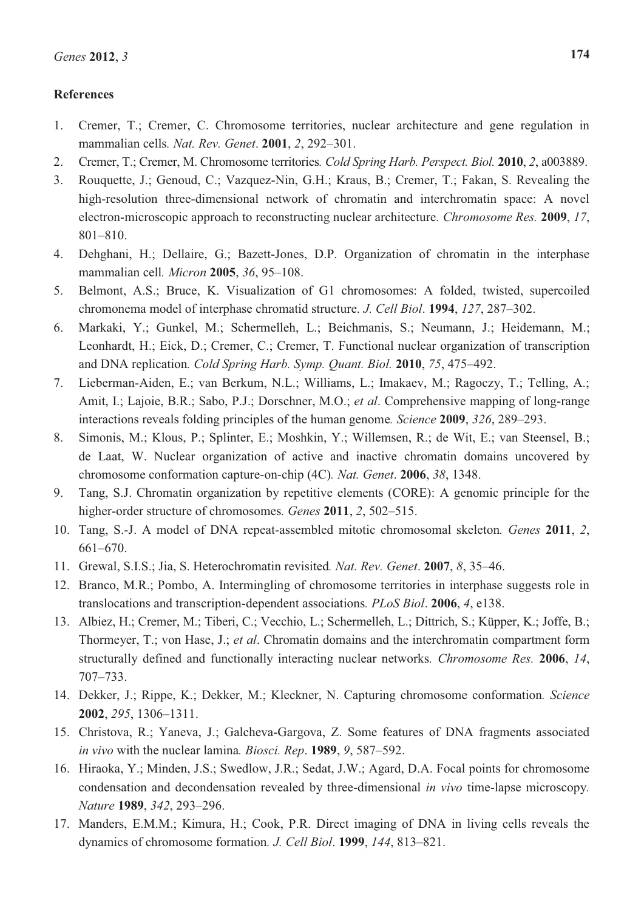## **References**

- 1. Cremer, T.; Cremer, C. Chromosome territories, nuclear architecture and gene regulation in mammalian cells*. Nat. Rev. Genet*. **2001**, *2*, 292–301.
- 2. Cremer, T.; Cremer, M. Chromosome territories*. Cold Spring Harb. Perspect. Biol.* **2010**, *2*, a003889.
- 3. Rouquette, J.; Genoud, C.; Vazquez-Nin, G.H.; Kraus, B.; Cremer, T.; Fakan, S. Revealing the high-resolution three-dimensional network of chromatin and interchromatin space: A novel electron-microscopic approach to reconstructing nuclear architecture*. Chromosome Res.* **2009**, *17*, 801–810.
- 4. Dehghani, H.; Dellaire, G.; Bazett-Jones, D.P. Organization of chromatin in the interphase mammalian cell*. Micron* **2005**, *36*, 95–108.
- 5. Belmont, A.S.; Bruce, K. Visualization of G1 chromosomes: A folded, twisted, supercoiled chromonema model of interphase chromatid structure. *J. Cell Biol*. **1994**, *127*, 287–302.
- 6. Markaki, Y.; Gunkel, M.; Schermelleh, L.; Beichmanis, S.; Neumann, J.; Heidemann, M.; Leonhardt, H.; Eick, D.; Cremer, C.; Cremer, T. Functional nuclear organization of transcription and DNA replication*. Cold Spring Harb. Symp. Quant. Biol.* **2010**, *75*, 475–492.
- 7. Lieberman-Aiden, E.; van Berkum, N.L.; Williams, L.; Imakaev, M.; Ragoczy, T.; Telling, A.; Amit, I.; Lajoie, B.R.; Sabo, P.J.; Dorschner, M.O.; *et al*. Comprehensive mapping of long-range interactions reveals folding principles of the human genome*. Science* **2009**, *326*, 289–293.
- 8. Simonis, M.; Klous, P.; Splinter, E.; Moshkin, Y.; Willemsen, R.; de Wit, E.; van Steensel, B.; de Laat, W. Nuclear organization of active and inactive chromatin domains uncovered by chromosome conformation capture-on-chip (4C)*. Nat. Genet*. **2006**, *38*, 1348.
- 9. Tang, S.J. Chromatin organization by repetitive elements (CORE): A genomic principle for the higher-order structure of chromosomes*. Genes* **2011**, *2*, 502–515.
- 10. Tang, S.-J. A model of DNA repeat-assembled mitotic chromosomal skeleton*. Genes* **2011**, *2*, 661–670.
- 11. Grewal, S.I.S.; Jia, S. Heterochromatin revisited*. Nat. Rev. Genet*. **2007**, *8*, 35–46.
- 12. Branco, M.R.; Pombo, A. Intermingling of chromosome territories in interphase suggests role in translocations and transcription-dependent associations*. PLoS Biol*. **2006**, *4*, e138.
- 13. Albiez, H.; Cremer, M.; Tiberi, C.; Vecchio, L.; Schermelleh, L.; Dittrich, S.; Küpper, K.; Joffe, B.; Thormeyer, T.; von Hase, J.; *et al*. Chromatin domains and the interchromatin compartment form structurally defined and functionally interacting nuclear networks*. Chromosome Res.* **2006**, *14*, 707–733.
- 14. Dekker, J.; Rippe, K.; Dekker, M.; Kleckner, N. Capturing chromosome conformation*. Science* **2002**, *295*, 1306–1311.
- 15. Christova, R.; Yaneva, J.; Galcheva-Gargova, Z. Some features of DNA fragments associated *in vivo* with the nuclear lamina*. Biosci. Rep*. **1989**, *9*, 587–592.
- 16. Hiraoka, Y.; Minden, J.S.; Swedlow, J.R.; Sedat, J.W.; Agard, D.A. Focal points for chromosome condensation and decondensation revealed by three-dimensional *in vivo* time-lapse microscopy*. Nature* **1989**, *342*, 293–296.
- 17. Manders, E.M.M.; Kimura, H.; Cook, P.R. Direct imaging of DNA in living cells reveals the dynamics of chromosome formation*. J. Cell Biol*. **1999**, *144*, 813–821.